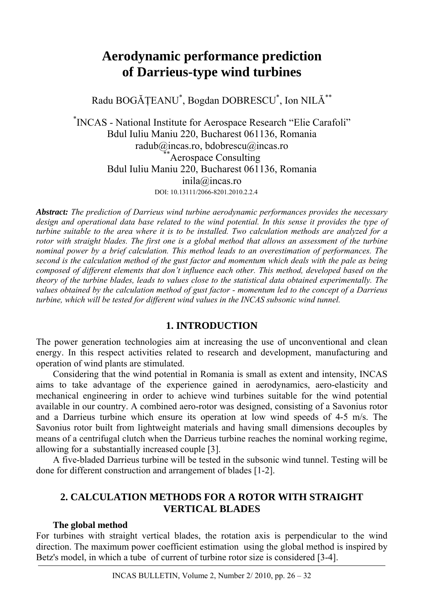# **Aerodynamic performance prediction of Darrieus-type wind turbines**

Radu BOGĂŢEANU\* , Bogdan DOBRESCU\* , Ion NILĂ\*\*

\* INCAS - National Institute for Aerospace Research "Elie Carafoli" Bdul Iuliu Maniu 220, Bucharest 061136, Romania radub@incas.ro, bdobrescu@incas.ro<br>\*\*Aerospace Consulting Bdul Iuliu Maniu 220, Bucharest 061136, Romania inila@incas.ro DOI: 10.13111/2066-8201.2010.2.2.4

*Abstract: The prediction of Darrieus wind turbine aerodynamic performances provides the necessary design and operational data base related to the wind potential. In this sense it provides the type of turbine suitable to the area where it is to be installed. Two calculation methods are analyzed for a rotor with straight blades. The first one is a global method that allows an assessment of the turbine nominal power by a brief calculation. This method leads to an overestimation of performances. The second is the calculation method of the gust factor and momentum which deals with the pale as being composed of different elements that don't influence each other. This method, developed based on the theory of the turbine blades, leads to values close to the statistical data obtained experimentally. The values obtained by the calculation method of gust factor - momentum led to the concept of a Darrieus turbine, which will be tested for different wind values in the INCAS subsonic wind tunnel.*

## **1. INTRODUCTION**

The power generation technologies aim at increasing the use of unconventional and clean energy. In this respect activities related to research and development, manufacturing and operation of wind plants are stimulated.

Considering that the wind potential in Romania is small as extent and intensity, INCAS aims to take advantage of the experience gained in aerodynamics, aero-elasticity and mechanical engineering in order to achieve wind turbines suitable for the wind potential available in our country. A combined aero-rotor was designed, consisting of a Savonius rotor and a Darrieus turbine which ensure its operation at low wind speeds of 4-5 m/s. The Savonius rotor built from lightweight materials and having small dimensions decouples by means of a centrifugal clutch when the Darrieus turbine reaches the nominal working regime, allowing for a substantially increased couple [3].

A five-bladed Darrieus turbine will be tested in the subsonic wind tunnel. Testing will be done for different construction and arrangement of blades [1-2].

# **2. CALCULATION METHODS FOR A ROTOR WITH STRAIGHT VERTICAL BLADES**

## **The global method**

For turbines with straight vertical blades, the rotation axis is perpendicular to the wind direction. The maximum power coefficient estimation using the global method is inspired by Betz's model, in which a tube of current of turbine rotor size is considered [3-4].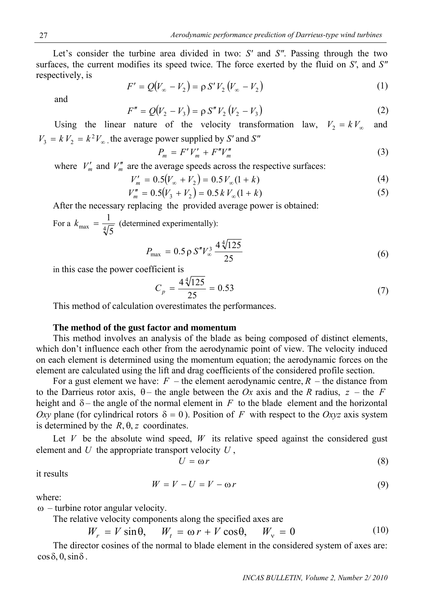Let's consider the turbine area divided in two: *S'* and *S"*. Passing through the two surfaces, the current modifies its speed twice. The force exerted by the fluid on *S'*, and *S"* respectively, is

$$
F' = Q(V_{\infty} - V_2) = \rho S' V_2 (V_{\infty} - V_2)
$$
 (1)

and

$$
F'' = Q(V_2 - V_3) = \rho S'' V_2 (V_2 - V_3)
$$
\n(2)

Using the linear nature of the velocity transformation law,  $V_2 = kV_\infty$  and  $V_3 = k V_2 = k^2 V_{\infty}$ , the average power supplied by *S'* and *S''* 

$$
P_m = F'V'_m + F''V''_m \tag{3}
$$

where  $V'_m$  and  $V''_m$  are the average speeds across the respective surfaces:

$$
V'_{m} = 0.5(V_{\infty} + V_{2}) = 0.5 V_{\infty}(1 + k)
$$
\n(4)

$$
V_m'' = 0.5(V_3 + V_2) = 0.5 k V_\infty (1 + k)
$$
\n(5)

After the necessary replacing the provided average power is obtained:

For a  $k_{\text{max}} = \frac{1}{\sqrt[4]{5}}$  (determined experimentally):

$$
P_{\text{max}} = 0.5 \,\rho \, S'' V_{\infty}^3 \frac{4 \sqrt[4]{125}}{25} \tag{6}
$$

in this case the power coefficient is

$$
C_p = \frac{4\sqrt[4]{125}}{25} = 0.53\tag{7}
$$

This method of calculation overestimates the performances.

#### **The method of the gust factor and momentum**

This method involves an analysis of the blade as being composed of distinct elements, which don't influence each other from the aerodynamic point of view. The velocity induced on each element is determined using the momentum equation; the aerodynamic forces on the element are calculated using the lift and drag coefficients of the considered profile section.

For a gust element we have:  $F$  – the element aerodynamic centre,  $R$  – the distance from to the Darrieus rotor axis,  $\theta$  – the angle between the *Ox* axis and the *R* radius,  $z$  – the *F* height and  $\delta$  – the angle of the normal element in  $F$  to the blade element and the horizontal *Oxy* plane (for cylindrical rotors  $\delta = 0$ ). Position of *F* with respect to the *Oxyz* axis system is determined by the  $R$ ,  $\theta$ , *z* coordinates.

Let V be the absolute wind speed,  $W$  its relative speed against the considered gust element and *U* the appropriate transport velocity *U* ,

$$
U = \omega r \tag{8}
$$

it results

$$
W = V - U = V - \omega r \tag{9}
$$

where:

 $\omega$  – turbine rotor angular velocity.

The relative velocity components along the specified axes are

$$
W_r = V \sin \theta, \quad W_t = \omega r + V \cos \theta, \quad W_v = 0 \tag{10}
$$

The director cosines of the normal to blade element in the considered system of axes are:  $\cos \delta$ , 0,  $\sin \delta$ .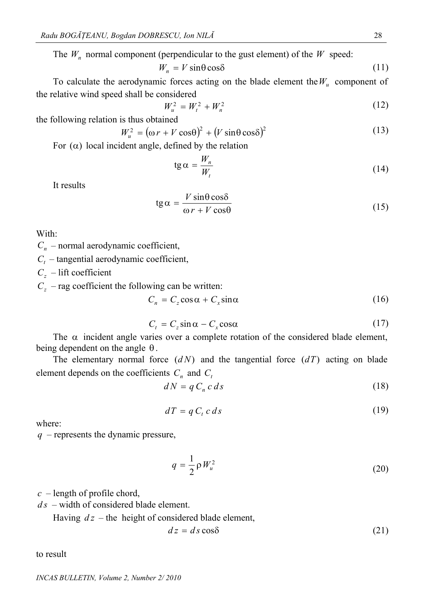The  $W_n$  normal component (perpendicular to the gust element) of the  $W$  speed:

$$
W_n = V \sin \theta \cos \delta \tag{11}
$$

To calculate the aerodynamic forces acting on the blade element the  $W_u$  component of the relative wind speed shall be considered

$$
W_u^2 = W_t^2 + W_n^2 \tag{12}
$$

the following relation is thus obtained

$$
W_u^2 = (\omega r + V \cos \theta)^2 + (V \sin \theta \cos \delta)^2 \tag{13}
$$

For  $(\alpha)$  local incident angle, defined by the relation

$$
tg\alpha = \frac{W_n}{W_t} \tag{14}
$$

It results

$$
tg \alpha = \frac{V \sin \theta \cos \delta}{\omega r + V \cos \theta}
$$
 (15)

With:

 $C_n$  – normal aerodynamic coefficient,

 $C_t$  – tangential aerodynamic coefficient,

*Cz* – lift coefficient

 $C_z$  – rag coefficient the following can be written:

$$
C_n = C_z \cos \alpha + C_x \sin \alpha \tag{16}
$$

$$
C_t = C_z \sin \alpha - C_x \cos \alpha \tag{17}
$$

The  $\alpha$  incident angle varies over a complete rotation of the considered blade element, being dependent on the angle  $\theta$ .

The elementary normal force  $(dN)$  and the tangential force  $(dT)$  acting on blade element depends on the coefficients  $C_n$  and  $C_i$ 

$$
dN = q C_n c ds \tag{18}
$$

$$
dT = q C_t c ds \tag{19}
$$

where:

*q* – represents the dynamic pressure,

$$
q = \frac{1}{2} \rho W_u^2 \tag{20}
$$

 $c$  – length of profile chord,

– width of considered blade element. *d s*

Having  $dz$  – the height of considered blade element,

$$
dz = ds \cos \delta \tag{21}
$$

to result

*INCAS BULLETIN, Volume 2, Number 2/ 2010*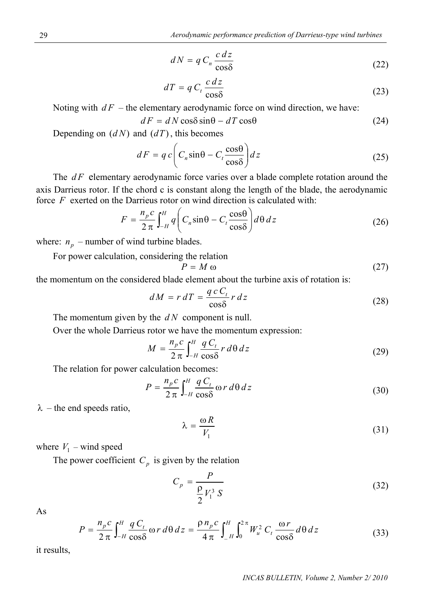$$
dN = q C_n \frac{c \, dz}{\cos \delta} \tag{22}
$$

$$
dT = q C_t \frac{c dz}{\cos \delta} \tag{23}
$$

Noting with  $dF$  – the elementary aerodynamic force on wind direction, we have:

$$
dF = dN\cos\delta\sin\theta - dT\cos\theta\tag{24}
$$

Depending on  $(dN)$  and  $(dT)$ , this becomes

$$
dF = q c \left( C_n \sin \theta - C_t \frac{\cos \theta}{\cos \delta} \right) dz
$$
 (25)

The  $dF$  elementary aerodynamic force varies over a blade complete rotation around the axis Darrieus rotor. If the chord c is constant along the length of the blade, the aerodynamic force *F* exerted on the Darrieus rotor on wind direction is calculated with:

$$
F = \frac{n_p c}{2 \pi} \int_{-H}^{H} q \left( C_n \sin \theta - C_t \frac{\cos \theta}{\cos \delta} \right) d\theta \, dz \tag{26}
$$

where:  $n_p$  – number of wind turbine blades.

For power calculation, considering the relation

$$
P = M \omega \tag{27}
$$

the momentum on the considered blade element about the turbine axis of rotation is:

$$
dM = r dT = \frac{q c C_t}{\cos \delta} r dz
$$
 (28)

The momentum given by the  $dN$  component is null.

Over the whole Darrieus rotor we have the momentum expression:

$$
M = \frac{n_p c}{2 \pi} \int_{-H}^{H} \frac{q C_t}{\cos \delta} r d\theta dz
$$
 (29)

The relation for power calculation becomes:

$$
P = \frac{n_p c}{2 \pi} \int_{-H}^{H} \frac{q C_t}{\cos \delta} \omega r d\theta dz
$$
 (30)

 $\lambda$  – the end speeds ratio,

$$
\lambda = \frac{\omega R}{V_1} \tag{31}
$$

where  $V_1$  – wind speed

The power coefficient  $C_p$  is given by the relation

$$
C_p = \frac{P}{\frac{\rho}{2}V_1^3 S} \tag{32}
$$

As

$$
P = \frac{n_p c}{2 \pi} \int_{-H}^{H} \frac{q C_t}{\cos \delta} \omega r d\theta dz = \frac{\rho n_p c}{4 \pi} \int_{-H}^{H} \int_{0}^{2\pi} W_u^2 C_t \frac{\omega r}{\cos \delta} d\theta dz
$$
 (33)

it results,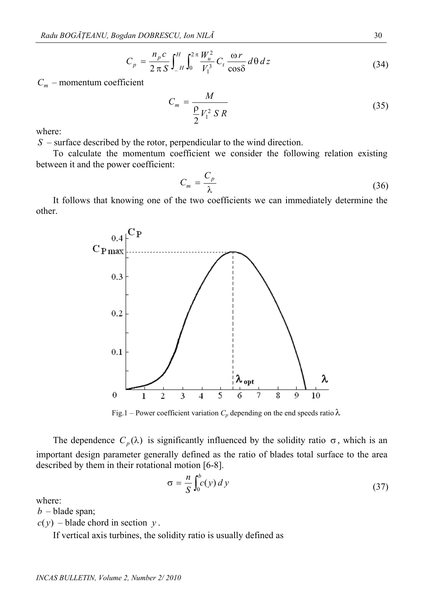$$
C_p = \frac{n_p c}{2 \pi S} \int_{-H}^{H} \int_0^{2\pi} \frac{W_u^2}{V_1^3} C_t \frac{\omega r}{\cos \delta} d\theta dz
$$
 (34)

 $C_m$  – momentum coefficient

$$
C_m = \frac{M}{\frac{P}{2}V_1^2 S R}
$$
\n
$$
(35)
$$

where:

– surface described by the rotor, perpendicular to the wind direction. *S*

To calculate the momentum coefficient we consider the following relation existing between it and the power coefficient:

$$
C_m = \frac{C_p}{\lambda} \tag{36}
$$

It follows that knowing one of the two coefficients we can immediately determine the other.



Fig.1 – Power coefficient variation  $C_p$  depending on the end speeds ratio  $\lambda$ 

The dependence  $C_p(\lambda)$  is significantly influenced by the solidity ratio  $\sigma$ , which is an important design parameter generally defined as the ratio of blades total surface to the area described by them in their rotational motion [6-8].

$$
\sigma = -\frac{n}{S} \int_0^b c(y) \, dy \tag{37}
$$

where:

 $b$  – blade span;

 $c(y)$  – blade chord in section  $y$ .

If vertical axis turbines, the solidity ratio is usually defined as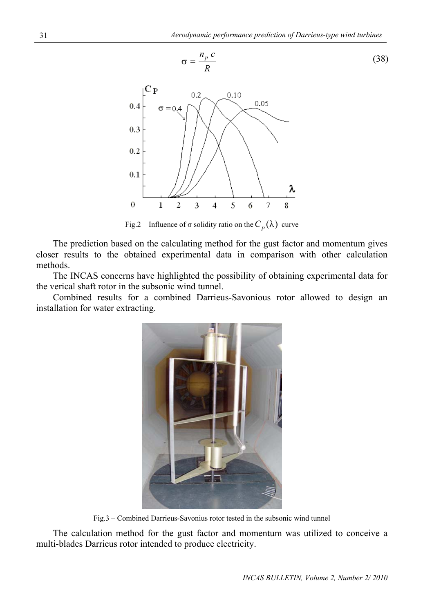

Fig.2 – Influence of  $\sigma$  solidity ratio on the  $C_p(\lambda)$  curve

The prediction based on the calculating method for the gust factor and momentum gives closer results to the obtained experimental data in comparison with other calculation met hods.

The INCAS concerns have highlighted the possibility of obtaining experimental data for the verical shaft rotor in the subsonic wind tunnel.

Combined results for a combined Darrieus-Savonious rotor allowed to design an installation for water extracting.



Fig.3 – Combined Darrieus-Savonius rotor tested in the subsonic wind tunnel

The calculation method for the gust factor and momentum was utilized to conceive a multi-blades Darrieus rotor intended to produce electricity.